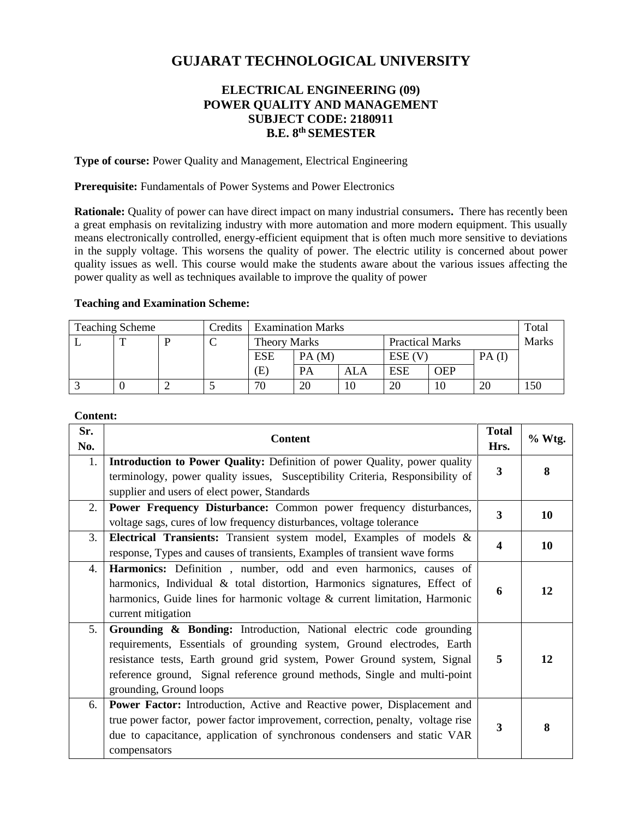# **GUJARAT TECHNOLOGICAL UNIVERSITY**

# **ELECTRICAL ENGINEERING (09) POWER QUALITY AND MANAGEMENT SUBJECT CODE: 2180911 B.E. 8 th SEMESTER**

**Type of course:** Power Quality and Management, Electrical Engineering

**Prerequisite:** Fundamentals of Power Systems and Power Electronics

**Rationale:** Quality of power can have direct impact on many industrial consumers**.** There has recently been a great emphasis on revitalizing industry with more automation and more modern equipment. This usually means electronically controlled, energy-efficient equipment that is often much more sensitive to deviations in the supply voltage. This worsens the quality of power. The electric utility is concerned about power quality issues as well. This course would make the students aware about the various issues affecting the power quality as well as techniques available to improve the quality of power

#### **Teaching and Examination Scheme:**

| <b>Teaching Scheme</b> |  |  | Credits | <b>Examination Marks</b> |           |     |                        | Total      |          |              |
|------------------------|--|--|---------|--------------------------|-----------|-----|------------------------|------------|----------|--------------|
|                        |  |  |         | <b>Theory Marks</b>      |           |     | <b>Practical Marks</b> |            |          | <b>Marks</b> |
|                        |  |  |         | <b>ESE</b>               | PA(M)     |     | $ESE$ (V)              |            | $PA$ (I) |              |
|                        |  |  |         | (E)                      | <b>PA</b> | ALA | <b>ESE</b>             | <b>OEP</b> |          |              |
|                        |  |  |         | 70                       | 20        | 10  | 20                     | 10         | 20       | 150          |

#### **Content:**

| Sr.<br>No.     | <b>Content</b>                                                                                                                                                                                                                                                                                                                   | <b>Total</b><br>Hrs. | % Wtg.    |
|----------------|----------------------------------------------------------------------------------------------------------------------------------------------------------------------------------------------------------------------------------------------------------------------------------------------------------------------------------|----------------------|-----------|
| 1.             | Introduction to Power Quality: Definition of power Quality, power quality<br>terminology, power quality issues, Susceptibility Criteria, Responsibility of<br>supplier and users of elect power, Standards                                                                                                                       | $\mathbf{3}$         | 8         |
| 2.             | Power Frequency Disturbance: Common power frequency disturbances,<br>voltage sags, cures of low frequency disturbances, voltage tolerance                                                                                                                                                                                        | $\overline{3}$       | <b>10</b> |
| 3.             | Electrical Transients: Transient system model, Examples of models &<br>response, Types and causes of transients, Examples of transient wave forms                                                                                                                                                                                | $\boldsymbol{4}$     | <b>10</b> |
| 4.             | Harmonics: Definition, number, odd and even harmonics, causes of<br>harmonics, Individual $\&$ total distortion, Harmonics signatures, Effect of<br>harmonics, Guide lines for harmonic voltage & current limitation, Harmonic<br>current mitigation                                                                             | 6                    | 12        |
| 5 <sub>1</sub> | Grounding & Bonding: Introduction, National electric code grounding<br>requirements, Essentials of grounding system, Ground electrodes, Earth<br>resistance tests, Earth ground grid system, Power Ground system, Signal<br>reference ground, Signal reference ground methods, Single and multi-point<br>grounding, Ground loops | 5                    | 12        |
| 6.             | Power Factor: Introduction, Active and Reactive power, Displacement and<br>true power factor, power factor improvement, correction, penalty, voltage rise<br>due to capacitance, application of synchronous condensers and static VAR<br>compensators                                                                            | 3                    | 8         |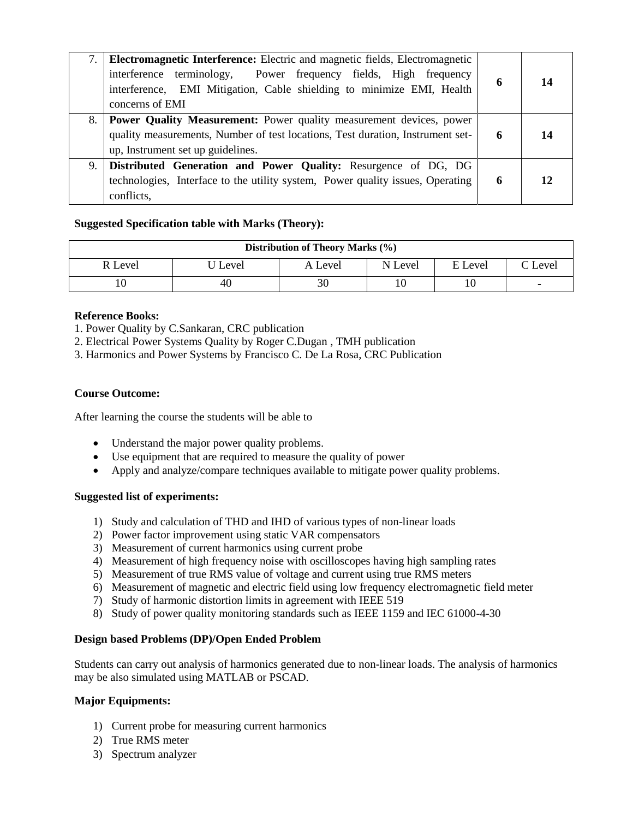|    | <b>Electromagnetic Interference:</b> Electric and magnetic fields, Electromagnetic<br>interference terminology,<br>Power frequency fields, High frequency<br>interference, EMI Mitigation, Cable shielding to minimize EMI, Health<br>concerns of EMI | 6 | 14 |
|----|-------------------------------------------------------------------------------------------------------------------------------------------------------------------------------------------------------------------------------------------------------|---|----|
|    | 8. Power Quality Measurement: Power quality measurement devices, power<br>quality measurements, Number of test locations, Test duration, Instrument set-<br>up, Instrument set up guidelines.                                                         | 6 | 14 |
| 9. | Distributed Generation and Power Quality: Resurgence of DG, DG<br>technologies, Interface to the utility system, Power quality issues, Operating<br>conflicts.                                                                                        | 6 | 12 |

## **Suggested Specification table with Marks (Theory):**

| Distribution of Theory Marks (%) |         |         |         |         |                 |  |  |
|----------------------------------|---------|---------|---------|---------|-----------------|--|--|
| R Level                          | J Level | A Level | N Level | E Level | $\degree$ Level |  |  |
| 10                               | 40      | 30      |         | 10      |                 |  |  |

## **Reference Books:**

1. Power Quality by C.Sankaran, CRC publication

2. Electrical Power Systems Quality by Roger C.Dugan , TMH publication

3. Harmonics and Power Systems by Francisco C. De La Rosa, CRC Publication

#### **Course Outcome:**

After learning the course the students will be able to

- Understand the major power quality problems.
- Use equipment that are required to measure the quality of power
- Apply and analyze/compare techniques available to mitigate power quality problems.

#### **Suggested list of experiments:**

- 1) Study and calculation of THD and IHD of various types of non-linear loads
- 2) Power factor improvement using static VAR compensators
- 3) Measurement of current harmonics using current probe
- 4) Measurement of high frequency noise with oscilloscopes having high sampling rates
- 5) Measurement of true RMS value of voltage and current using true RMS meters
- 6) Measurement of magnetic and electric field using low frequency electromagnetic field meter
- 7) Study of harmonic distortion limits in agreement with IEEE 519
- 8) Study of power quality monitoring standards such as IEEE 1159 and IEC 61000-4-30

#### **Design based Problems (DP)/Open Ended Problem**

Students can carry out analysis of harmonics generated due to non-linear loads. The analysis of harmonics may be also simulated using MATLAB or PSCAD.

#### **Major Equipments:**

- 1) Current probe for measuring current harmonics
- 2) True RMS meter
- 3) Spectrum analyzer